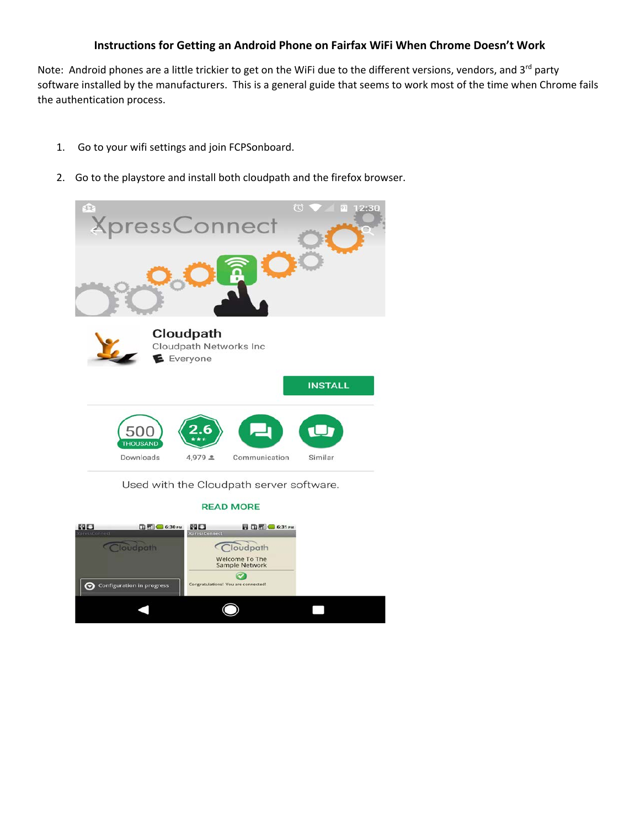## **Instructions for Getting an Android Phone on Fairfax WiFi When Chrome Doesn't Work**

Note: Android phones are a little trickier to get on the WiFi due to the different versions, vendors, and 3rd party software installed by the manufacturers. This is a general guide that seems to work most of the time when Chrome fails the authentication process.

- 1. Go to your wifi settings and join FCPSonboard.
- 2. Go to the playstore and install both cloudpath and the firefox browser.



Used with the Cloudpath server software.

## **READ MORE**

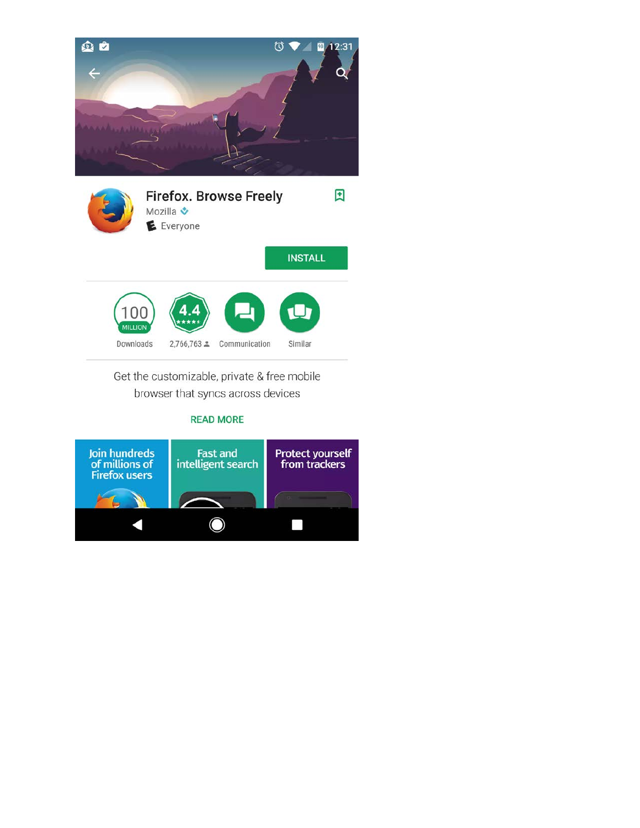



Get the customizable, private & free mobile browser that syncs across devices

## **READ MORE**

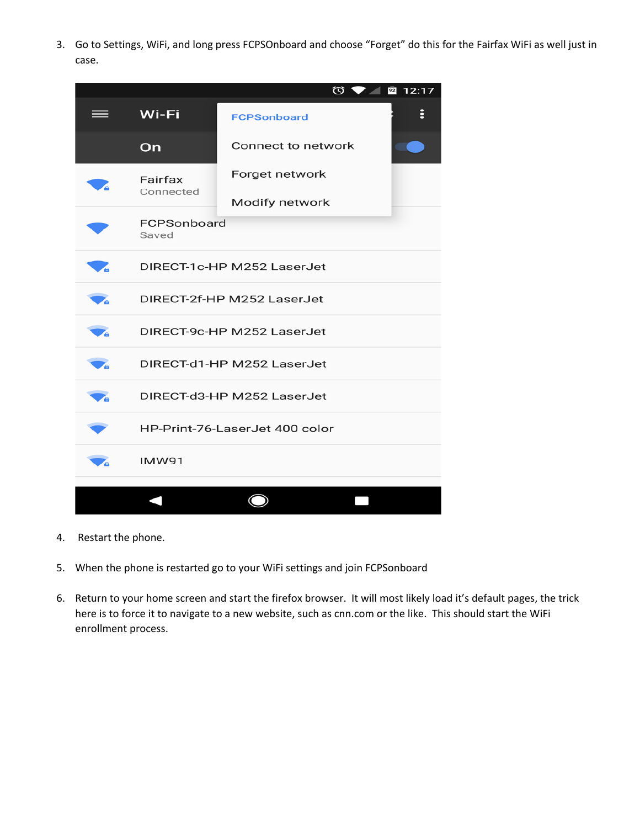3. Go to Settings, WiFi, and long press FCPSOnboard and choose "Forget" do this for the Fairfax WiFi as well just in case.



- 4. Restart the phone.
- 5. When the phone is restarted go to your WiFi settings and join FCPSonboard
- 6. Return to your home screen and start the firefox browser. It will most likely load it's default pages, the trick here is to force it to navigate to a new website, such as cnn.com or the like. This should start the WiFi enrollment process.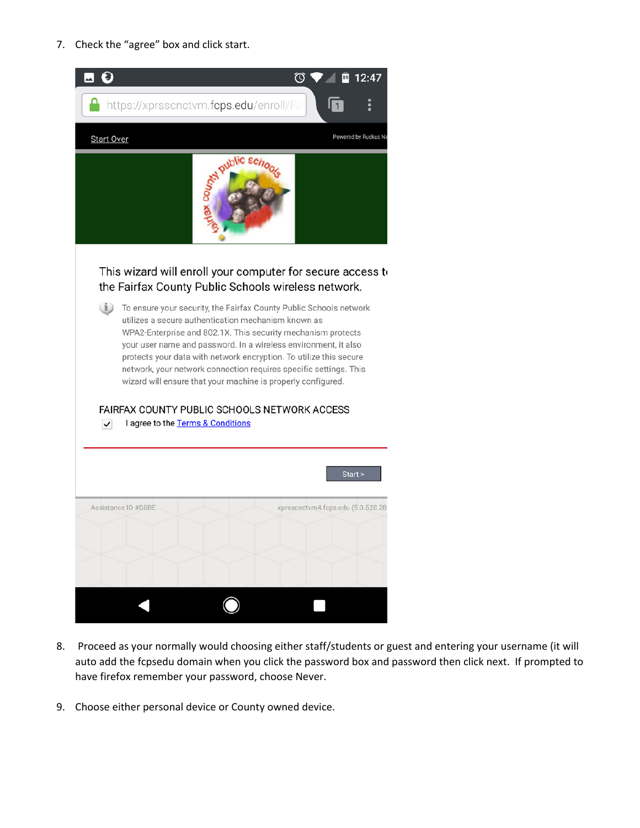7. Check the "agree" box and click start.



- 8. Proceed as your normally would choosing either staff/students or guest and entering your username (it will auto add the fcpsedu domain when you click the password box and password then click next. If prompted to have firefox remember your password, choose Never.
- 9. Choose either personal device or County owned device.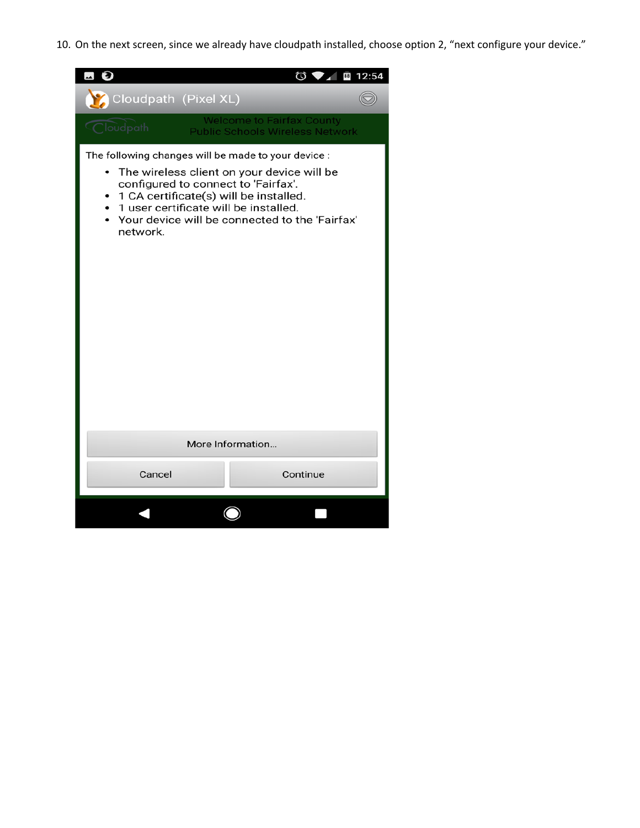10. On the next screen, since we already have cloudpath installed, choose option 2, "next configure your device."